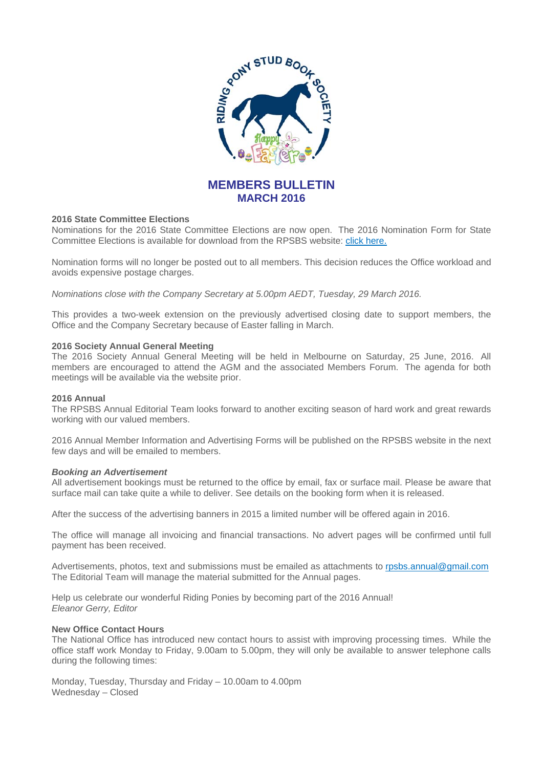

# **MEMBERS BULLETIN MARCH 2016**

# **2016 State Committee Elections**

Nominations for the 2016 State Committee Elections are now open. The 2016 Nomination Form for State Committee Elections is available for download from the RPSBS website: click here.

Nomination forms will no longer be posted out to all members. This decision reduces the Office workload and avoids expensive postage charges.

*Nominations close with the Company Secretary at 5.00pm AEDT, Tuesday, 29 March 2016.* 

This provides a two-week extension on the previously advertised closing date to support members, the Office and the Company Secretary because of Easter falling in March.

# **2016 Society Annual General Meeting**

The 2016 Society Annual General Meeting will be held in Melbourne on Saturday, 25 June, 2016. All members are encouraged to attend the AGM and the associated Members Forum. The agenda for both meetings will be available via the website prior.

## **2016 Annual**

The RPSBS Annual Editorial Team looks forward to another exciting season of hard work and great rewards working with our valued members.

2016 Annual Member Information and Advertising Forms will be published on the RPSBS website in the next few days and will be emailed to members.

# *Booking an Advertisement*

All advertisement bookings must be returned to the office by email, fax or surface mail. Please be aware that surface mail can take quite a while to deliver. See details on the booking form when it is released.

After the success of the advertising banners in 2015 a limited number will be offered again in 2016.

The office will manage all invoicing and financial transactions. No advert pages will be confirmed until full payment has been received.

Advertisements, photos, text and submissions must be emailed as attachments to rpsbs.annual@gmail.com The Editorial Team will manage the material submitted for the Annual pages.

Help us celebrate our wonderful Riding Ponies by becoming part of the 2016 Annual! *Eleanor Gerry, Editor*

## **New Office Contact Hours**

The National Office has introduced new contact hours to assist with improving processing times. While the office staff work Monday to Friday, 9.00am to 5.00pm, they will only be available to answer telephone calls during the following times:

Monday, Tuesday, Thursday and Friday – 10.00am to 4.00pm Wednesday – Closed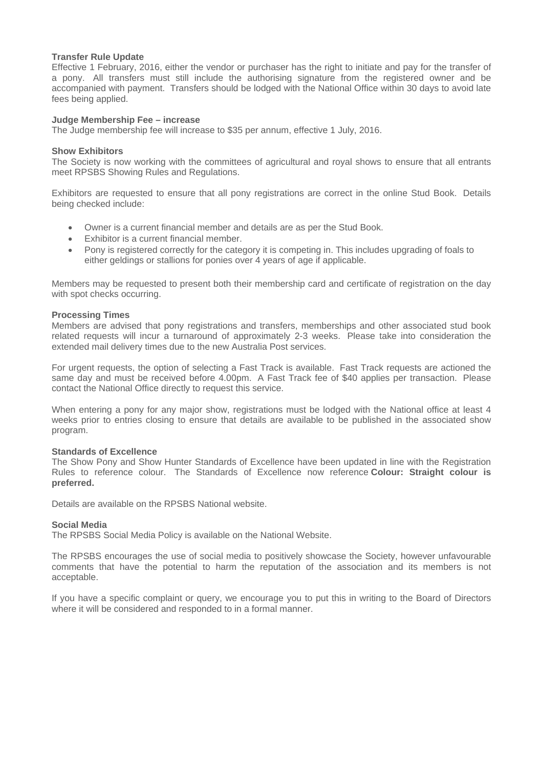# **Transfer Rule Update**

Effective 1 February, 2016, either the vendor or purchaser has the right to initiate and pay for the transfer of a pony. All transfers must still include the authorising signature from the registered owner and be accompanied with payment. Transfers should be lodged with the National Office within 30 days to avoid late fees being applied.

# **Judge Membership Fee – increase**

The Judge membership fee will increase to \$35 per annum, effective 1 July, 2016.

# **Show Exhibitors**

The Society is now working with the committees of agricultural and royal shows to ensure that all entrants meet RPSBS Showing Rules and Regulations.

Exhibitors are requested to ensure that all pony registrations are correct in the online Stud Book. Details being checked include:

- Owner is a current financial member and details are as per the Stud Book.
- Exhibitor is a current financial member.
- Pony is registered correctly for the category it is competing in. This includes upgrading of foals to either geldings or stallions for ponies over 4 years of age if applicable.

Members may be requested to present both their membership card and certificate of registration on the day with spot checks occurring.

## **Processing Times**

Members are advised that pony registrations and transfers, memberships and other associated stud book related requests will incur a turnaround of approximately 2-3 weeks. Please take into consideration the extended mail delivery times due to the new Australia Post services.

For urgent requests, the option of selecting a Fast Track is available. Fast Track requests are actioned the same day and must be received before 4.00pm. A Fast Track fee of \$40 applies per transaction. Please contact the National Office directly to request this service.

When entering a pony for any major show, registrations must be lodged with the National office at least 4 weeks prior to entries closing to ensure that details are available to be published in the associated show program.

## **Standards of Excellence**

The Show Pony and Show Hunter Standards of Excellence have been updated in line with the Registration Rules to reference colour. The Standards of Excellence now reference **Colour: Straight colour is preferred.**

Details are available on the RPSBS National website.

## **Social Media**

The RPSBS Social Media Policy is available on the National Website.

The RPSBS encourages the use of social media to positively showcase the Society, however unfavourable comments that have the potential to harm the reputation of the association and its members is not acceptable.

If you have a specific complaint or query, we encourage you to put this in writing to the Board of Directors where it will be considered and responded to in a formal manner.